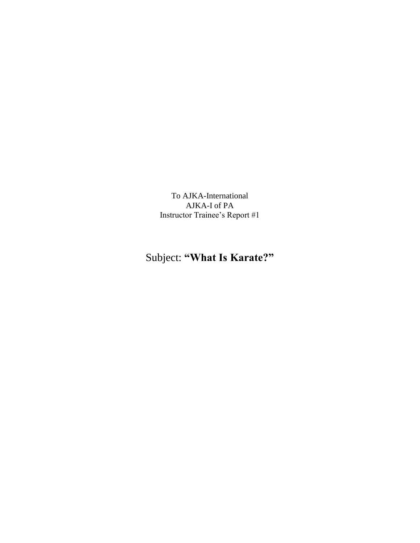To AJKA-International AJKA-I of PA Instructor Trainee's Report #1

## Subject: **"What Is Karate?"**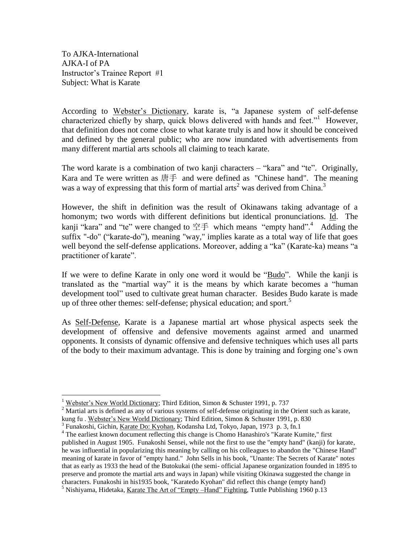To AJKA-International AJKA-I of PA Instructor's Trainee Report #1 Subject: What is Karate

According to Webster's Dictionary, karate is, "a Japanese system of self-defense characterized chiefly by sharp, quick blows delivered with hands and feet."<sup>1</sup> However, that definition does not come close to what karate truly is and how it should be conceived and defined by the general public; who are now inundated with advertisements from many different martial arts schools all claiming to teach karate.

The word karate is a combination of two kanji characters – "kara" and "te". Originally, Kara and Te were written as 唐手 and were defined as "Chinese hand". The meaning was a way of expressing that this form of martial arts<sup>2</sup> was derived from China.<sup>3</sup>

However, the shift in definition was the result of Okinawans taking advantage of a homonym; two words with different definitions but identical pronunciations. Id. The kanji "kara" and "te" were changed to 空手 which means "empty hand".<sup>4</sup> Adding the suffix "-do" ("karate-do"), meaning "way," implies karate as a total way of life that goes well beyond the self-defense applications. Moreover, adding a "ka" (Karate-ka) means "a practitioner of karate".

If we were to define Karate in only one word it would be "Budo". While the kanji is translated as the "martial way" it is the means by which karate becomes a "human development tool" used to cultivate great human character. Besides Budo karate is made up of three other themes: self-defense; physical education; and sport.<sup>5</sup>

As Self-Defense, Karate is a Japanese martial art whose physical aspects seek the development of offensive and defensive movements against armed and unarmed opponents. It consists of dynamic offensive and defensive techniques which uses all parts of the body to their maximum advantage. This is done by training and forging one's own

 $\overline{a}$ <sup>1</sup> Webster's New World Dictionary; Third Edition, Simon & Schuster 1991, p. 737

 $2\overline{R}$  Martial arts is defined as any of various systems of self-defense originating in the Orient such as karate, kung fu . Webster's New World Dictionary; Third Edition, Simon & Schuster 1991, p. 830

<sup>&</sup>lt;sup>3</sup> Funakoshi, Gichin, Karate Do: Kyohan, Kodansha Ltd, Tokyo, Japan, 1973 p. 3, fn.1

<sup>&</sup>lt;sup>4</sup> The earliest known document reflecting this change is Chomo Hanashiro's "Karate Kumite," first published in August 1905. Funakoshi Sensei, while not the first to use the "empty hand" (kanji) for karate, he was influential in popularizing this meaning by calling on his colleagues to abandon the "Chinese Hand" meaning of karate in favor of "empty hand." John Sells in his book, "Unante: The Secrets of Karate" notes that as early as 1933 the head of the Butokukai (the semi- official Japanese organization founded in 1895 to preserve and promote the martial arts and ways in Japan) while visiting Okinawa suggested the change in characters. Funakoshi in his1935 book, "Karatedo Kyohan" did reflect this change (empty hand) <sup>5</sup> Nishiyama, Hidetaka, Karate The Art of "Empty –Hand" Fighting, Tuttle Publishing 1960 p.13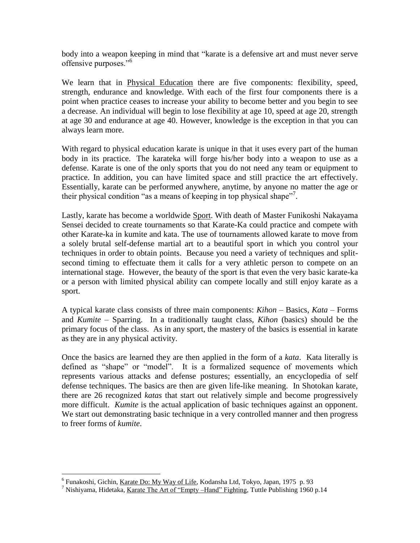body into a weapon keeping in mind that "karate is a defensive art and must never serve offensive purposes."<sup>6</sup>

We learn that in Physical Education there are five components: flexibility, speed, strength, endurance and knowledge. With each of the first four components there is a point when practice ceases to increase your ability to become better and you begin to see a decrease. An individual will begin to lose flexibility at age 10, speed at age 20, strength at age 30 and endurance at age 40. However, knowledge is the exception in that you can always learn more.

With regard to physical education karate is unique in that it uses every part of the human body in its practice. The karateka will forge his/her body into a weapon to use as a defense. Karate is one of the only sports that you do not need any team or equipment to practice. In addition, you can have limited space and still practice the art effectively. Essentially, karate can be performed anywhere, anytime, by anyone no matter the age or their physical condition "as a means of keeping in top physical shape"<sup>7</sup>.

Lastly, karate has become a worldwide Sport. With death of Master Funikoshi Nakayama Sensei decided to create tournaments so that Karate-Ka could practice and compete with other Karate-ka in kumite and kata. The use of tournaments allowed karate to move from a solely brutal self-defense martial art to a beautiful sport in which you control your techniques in order to obtain points. Because you need a variety of techniques and splitsecond timing to effectuate them it calls for a very athletic person to compete on an international stage. However, the beauty of the sport is that even the very basic karate-ka or a person with limited physical ability can compete locally and still enjoy karate as a sport.

A typical karate class consists of three main components: *Kihon* – Basics, *Kata* – Forms and *Kumite* – Sparring. In a traditionally taught class, *Kihon* (basics) should be the primary focus of the class. As in any sport, the mastery of the basics is essential in karate as they are in any physical activity.

Once the basics are learned they are then applied in the form of a *kata*. Kata literally is defined as "shape" or "model". It is a formalized sequence of movements which represents various attacks and defense postures; essentially, an encyclopedia of self defense techniques. The basics are then are given life-like meaning. In Shotokan karate, there are 26 recognized *katas* that start out relatively simple and become progressively more difficult. *Kumite* is the actual application of basic techniques against an opponent. We start out demonstrating basic technique in a very controlled manner and then progress to freer forms of *kumite*.

 $\overline{a}$ 

<sup>&</sup>lt;sup>6</sup> Funakoshi, Gichin, <u>Karate Do: My Way of Life</u>, Kodansha Ltd, Tokyo, Japan, 1975 p. 93

<sup>&</sup>lt;sup>7</sup> Nishiyama, Hidetaka, Karate The Art of "Empty – Hand" Fighting, Tuttle Publishing 1960 p.14